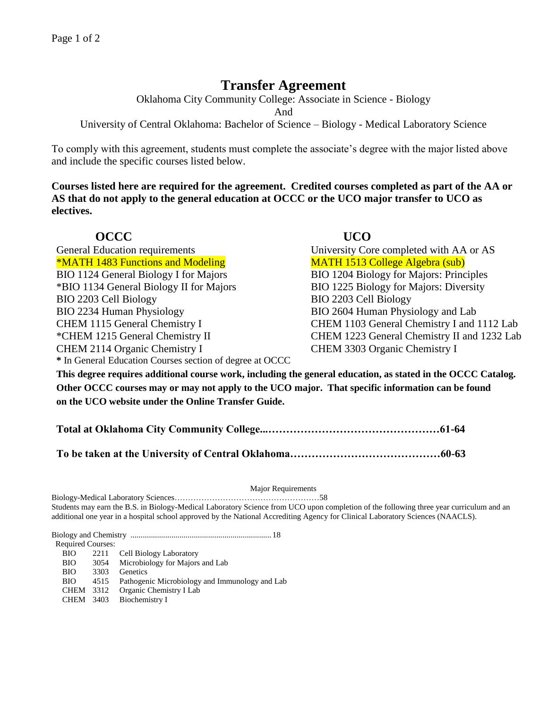## **Transfer Agreement**

Oklahoma City Community College: Associate in Science - Biology

And

University of Central Oklahoma: Bachelor of Science – Biology - Medical Laboratory Science

To comply with this agreement, students must complete the associate's degree with the major listed above and include the specific courses listed below.

**Courses listed here are required for the agreement. Credited courses completed as part of the AA or AS that do not apply to the general education at OCCC or the UCO major transfer to UCO as electives.**

| <b>OCCC</b>                                                                                               | <b>UCO</b>                                  |
|-----------------------------------------------------------------------------------------------------------|---------------------------------------------|
| <b>General Education requirements</b>                                                                     | University Core completed with AA or AS     |
| <b>*MATH 1483 Functions and Modeling</b>                                                                  | <b>MATH 1513 College Algebra (sub)</b>      |
| BIO 1124 General Biology I for Majors                                                                     | BIO 1204 Biology for Majors: Principles     |
| *BIO 1134 General Biology II for Majors                                                                   | BIO 1225 Biology for Majors: Diversity      |
| BIO 2203 Cell Biology                                                                                     | BIO 2203 Cell Biology                       |
| BIO 2234 Human Physiology                                                                                 | BIO 2604 Human Physiology and Lab           |
| CHEM 1115 General Chemistry I                                                                             | CHEM 1103 General Chemistry I and 1112 Lab  |
| *CHEM 1215 General Chemistry II                                                                           | CHEM 1223 General Chemistry II and 1232 Lab |
| CHEM 2114 Organic Chemistry I                                                                             | CHEM 3303 Organic Chemistry I               |
| * In General Education Courses section of degree at OCCC                                                  |                                             |
| This degree requires additional course work including the general education as stated in the OCCC Catalog |                                             |

**This degree requires additional course work, including the general education, as stated in the OCCC Catalog. Other OCCC courses may or may not apply to the UCO major. That specific information can be found on the UCO website under the Online Transfer Guide.** 

**Total at Oklahoma City Community College...…………………………………………61-64**

**To be taken at the University of Central Oklahoma……………………………………60-63**

## Major Requirements

Biology-Medical Laboratory Sciences………………………………………………58

Students may earn the B.S. in Biology-Medical Laboratory Science from UCO upon completion of the following three year curriculum and an additional one year in a hospital school approved by the National Accrediting Agency for Clinical Laboratory Sciences (NAACLS).

Biology and Chemistry ..................................................................... 18 Required Courses: BIO 2211 Cell Biology Laboratory BIO 3054 Microbiology for Majors and Lab BIO 3303 Genetics BIO 4515 Pathogenic Microbiology and Immunology and Lab CHEM 3312 Organic Chemistry I Lab CHEM 3403 Biochemistry I